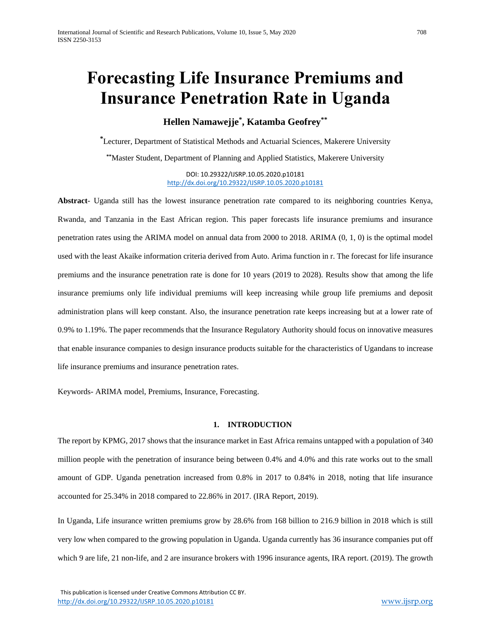# **Forecasting Life Insurance Premiums and Insurance Penetration Rate in Uganda**

**Hellen Namawejje\* , Katamba Geofrey\*\***

**\***Lecturer, Department of Statistical Methods and Actuarial Sciences, Makerere University **\*\***Master Student, Department of Planning and Applied Statistics, Makerere University

> DOI: 10.29322/IJSRP.10.05.2020.p10181 <http://dx.doi.org/10.29322/IJSRP.10.05.2020.p10181>

**Abstract**- Uganda still has the lowest insurance penetration rate compared to its neighboring countries Kenya, Rwanda, and Tanzania in the East African region. This paper forecasts life insurance premiums and insurance penetration rates using the ARIMA model on annual data from 2000 to 2018. ARIMA (0, 1, 0) is the optimal model used with the least Akaike information criteria derived from Auto. Arima function in r. The forecast for life insurance premiums and the insurance penetration rate is done for 10 years (2019 to 2028). Results show that among the life insurance premiums only life individual premiums will keep increasing while group life premiums and deposit administration plans will keep constant. Also, the insurance penetration rate keeps increasing but at a lower rate of 0.9% to 1.19%. The paper recommends that the Insurance Regulatory Authority should focus on innovative measures that enable insurance companies to design insurance products suitable for the characteristics of Ugandans to increase life insurance premiums and insurance penetration rates.

Keywords- ARIMA model, Premiums, Insurance, Forecasting.

## **1. INTRODUCTION**

The report by KPMG, 2017 shows that the insurance market in East Africa remains untapped with a population of 340 million people with the penetration of insurance being between 0.4% and 4.0% and this rate works out to the small amount of GDP. Uganda penetration increased from 0.8% in 2017 to 0.84% in 2018, noting that life insurance accounted for 25.34% in 2018 compared to 22.86% in 2017. (IRA Report, 2019).

In Uganda, Life insurance written premiums grow by 28.6% from 168 billion to 216.9 billion in 2018 which is still very low when compared to the growing population in Uganda. Uganda currently has 36 insurance companies put off which 9 are life, 21 non-life, and 2 are insurance brokers with 1996 insurance agents, IRA report. (2019). The growth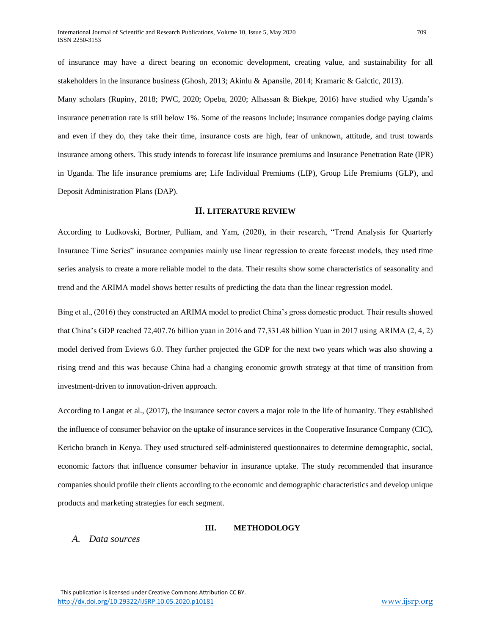of insurance may have a direct bearing on economic development, creating value, and sustainability for all stakeholders in the insurance business (Ghosh, 2013; Akinlu & Apansile, 2014; Kramaric & Galctic, 2013).

Many scholars (Rupiny, 2018; PWC, 2020; Opeba, 2020; Alhassan & Biekpe, 2016) have studied why Uganda's insurance penetration rate is still below 1%. Some of the reasons include; insurance companies dodge paying claims and even if they do, they take their time, insurance costs are high, fear of unknown, attitude, and trust towards insurance among others. This study intends to forecast life insurance premiums and Insurance Penetration Rate (IPR) in Uganda. The life insurance premiums are; Life Individual Premiums (LIP), Group Life Premiums (GLP), and Deposit Administration Plans (DAP).

## **II. LITERATURE REVIEW**

According to Ludkovski, Bortner, Pulliam, and Yam, (2020), in their research, "Trend Analysis for Quarterly Insurance Time Series" insurance companies mainly use linear regression to create forecast models, they used time series analysis to create a more reliable model to the data. Their results show some characteristics of seasonality and trend and the ARIMA model shows better results of predicting the data than the linear regression model.

Bing et al., (2016) they constructed an ARIMA model to predict China's gross domestic product. Their results showed that China's GDP reached 72,407.76 billion yuan in 2016 and 77,331.48 billion Yuan in 2017 using ARIMA (2, 4, 2) model derived from Eviews 6.0. They further projected the GDP for the next two years which was also showing a rising trend and this was because China had a changing economic growth strategy at that time of transition from investment-driven to innovation-driven approach.

According to Langat et al., (2017), the insurance sector covers a major role in the life of humanity. They established the influence of consumer behavior on the uptake of insurance services in the Cooperative Insurance Company (CIC), Kericho branch in Kenya. They used structured self-administered questionnaires to determine demographic, social, economic factors that influence consumer behavior in insurance uptake. The study recommended that insurance companies should profile their clients according to the economic and demographic characteristics and develop unique products and marketing strategies for each segment.

## **III. METHODOLOGY**

*A. Data sources*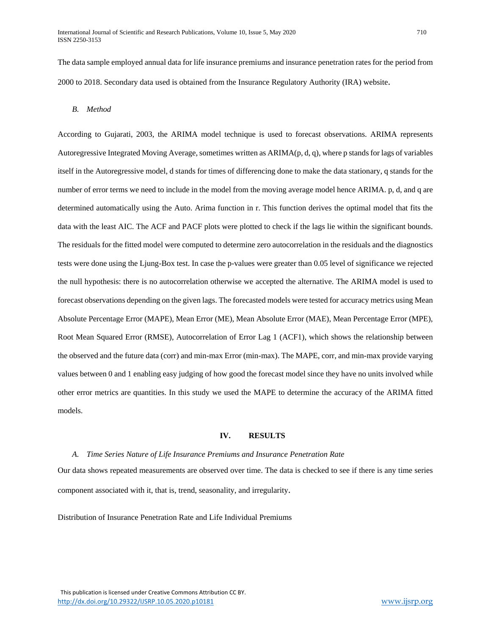The data sample employed annual data for life insurance premiums and insurance penetration rates for the period from 2000 to 2018. Secondary data used is obtained from the Insurance Regulatory Authority (IRA) website.

## *B. Method*

According to Gujarati, 2003, the ARIMA model technique is used to forecast observations. ARIMA represents Autoregressive Integrated Moving Average, sometimes written as ARIMA(p, d, q), where p stands for lags of variables itself in the Autoregressive model, d stands for times of differencing done to make the data stationary, q stands for the number of error terms we need to include in the model from the moving average model hence ARIMA. p, d, and q are determined automatically using the Auto. Arima function in r. This function derives the optimal model that fits the data with the least AIC. The ACF and PACF plots were plotted to check if the lags lie within the significant bounds. The residuals for the fitted model were computed to determine zero autocorrelation in the residuals and the diagnostics tests were done using the Ljung-Box test. In case the p-values were greater than 0.05 level of significance we rejected the null hypothesis: there is no autocorrelation otherwise we accepted the alternative. The ARIMA model is used to forecast observations depending on the given lags. The forecasted models were tested for accuracy metrics using Mean Absolute Percentage Error (MAPE), Mean Error (ME), Mean Absolute Error (MAE), Mean Percentage Error (MPE), Root Mean Squared Error (RMSE), Autocorrelation of Error Lag 1 (ACF1), which shows the relationship between the observed and the future data (corr) and min-max Error (min-max). The MAPE, corr, and min-max provide varying values between 0 and 1 enabling easy judging of how good the forecast model since they have no units involved while other error metrics are quantities. In this study we used the MAPE to determine the accuracy of the ARIMA fitted models.

## **IV. RESULTS**

#### *A. Time Series Nature of Life Insurance Premiums and Insurance Penetration Rate*

Our data shows repeated measurements are observed over time. The data is checked to see if there is any time series component associated with it, that is, trend, seasonality, and irregularity.

Distribution of Insurance Penetration Rate and Life Individual Premiums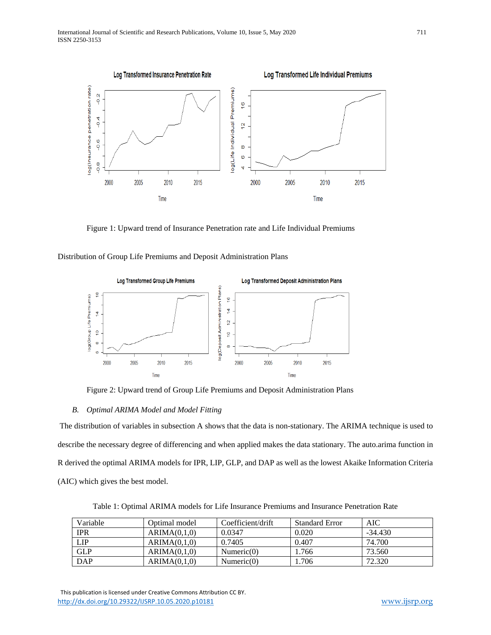

Figure 1: Upward trend of Insurance Penetration rate and Life Individual Premiums

Distribution of Group Life Premiums and Deposit Administration Plans



Figure 2: Upward trend of Group Life Premiums and Deposit Administration Plans

#### *B. Optimal ARIMA Model and Model Fitting*

The distribution of variables in subsection A shows that the data is non-stationary. The ARIMA technique is used to describe the necessary degree of differencing and when applied makes the data stationary. The auto.arima function in R derived the optimal ARIMA models for IPR, LIP, GLP, and DAP as well as the lowest Akaike Information Criteria (AIC) which gives the best model.

Table 1: Optimal ARIMA models for Life Insurance Premiums and Insurance Penetration Rate

| Variable   | Optimal model | Coefficient/drift | <b>Standard Error</b> | AIC       |
|------------|---------------|-------------------|-----------------------|-----------|
| <b>IPR</b> | ARIMA(0,1,0)  | 0.0347            | 0.020                 | $-34.430$ |
| LIP        | ARIMA(0,1,0)  | 0.7405            | 0.407                 | 74.700    |
| <b>GLP</b> | ARIMA(0,1,0)  | $N$ umeric $(0)$  | 1.766                 | 73.560    |
| <b>DAP</b> | ARIMA(0,1,0)  | $N$ umeric $(0)$  | .706                  | 72.320    |

This publication is licensed under Creative Commons Attribution CC BY. <http://dx.doi.org/10.29322/IJSRP.10.05.2020.p10181> [www.ijsrp.org](http://ijsrp.org/)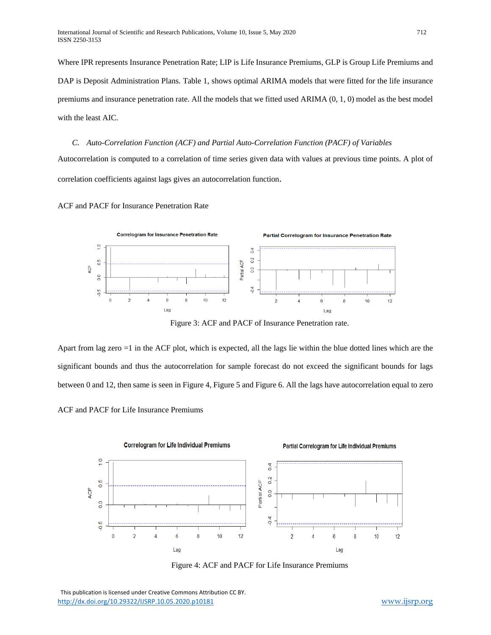Where IPR represents Insurance Penetration Rate; LIP is Life Insurance Premiums, GLP is Group Life Premiums and DAP is Deposit Administration Plans. Table 1, shows optimal ARIMA models that were fitted for the life insurance premiums and insurance penetration rate. All the models that we fitted used ARIMA (0, 1, 0) model as the best model with the least AIC.

*C. Auto-Correlation Function (ACF) and Partial Auto-Correlation Function (PACF) of Variables* Autocorrelation is computed to a correlation of time series given data with values at previous time points. A plot of correlation coefficients against lags gives an autocorrelation function.

ACF and PACF for Insurance Penetration Rate



Figure 3: ACF and PACF of Insurance Penetration rate.

Apart from lag zero =1 in the ACF plot, which is expected, all the lags lie within the blue dotted lines which are the significant bounds and thus the autocorrelation for sample forecast do not exceed the significant bounds for lags between 0 and 12, then same is seen in Figure 4, Figure 5 and Figure 6. All the lags have autocorrelation equal to zero

ACF and PACF for Life Insurance Premiums



Figure 4: ACF and PACF for Life Insurance Premiums

 This publication is licensed under Creative Commons Attribution CC BY. <http://dx.doi.org/10.29322/IJSRP.10.05.2020.p10181> [www.ijsrp.org](http://ijsrp.org/)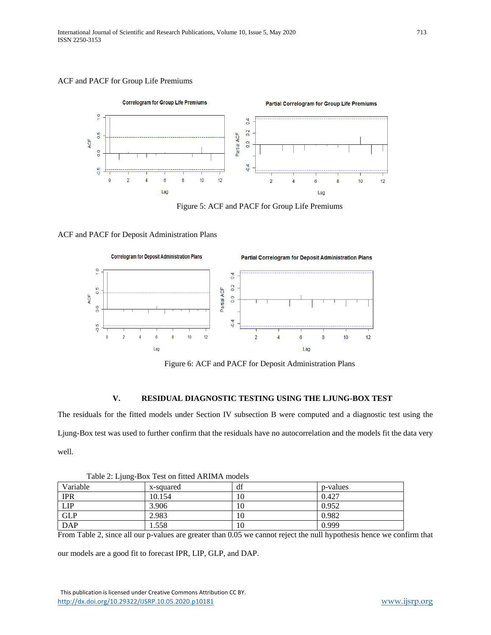## ACF and PACF for Group Life Premiums



Figure 5: ACF and PACF for Group Life Premiums

## ACF and PACF for Deposit Administration Plans



Figure 6: ACF and PACF for Deposit Administration Plans

## **V. RESIDUAL DIAGNOSTIC TESTING USING THE LJUNG-BOX TEST**

The residuals for the fitted models under Section IV subsection B were computed and a diagnostic test using the Ljung-Box test was used to further confirm that the residuals have no autocorrelation and the models fit the data very well.

| Table 2. Equing-BOX Test on fitted AKINIA models |           |    |          |  |  |  |
|--------------------------------------------------|-----------|----|----------|--|--|--|
| Variable                                         | x-squared | df | p-values |  |  |  |
| <b>IPR</b>                                       | 10.154    | 10 | 0.427    |  |  |  |
| <b>LIP</b>                                       | 3.906     | 10 | 0.952    |  |  |  |
| <b>GLP</b>                                       | 2.983     | 10 | 0.982    |  |  |  |
| <b>DAP</b>                                       | 1.558     | 10 | 0.999    |  |  |  |

Table 2: Ljung-Box Test on fitted ARIMA models

From Table 2, since all our p-values are greater than 0.05 we cannot reject the null hypothesis hence we confirm that

our models are a good fit to forecast IPR, LIP, GLP, and DAP.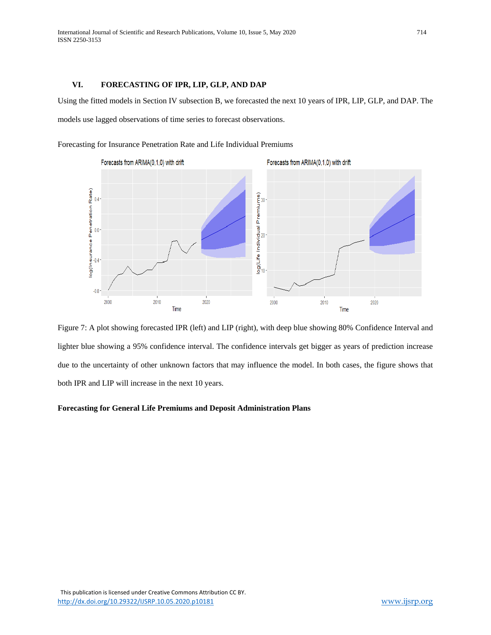## **VI. FORECASTING OF IPR, LIP, GLP, AND DAP**

Using the fitted models in Section IV subsection B, we forecasted the next 10 years of IPR, LIP, GLP, and DAP. The models use lagged observations of time series to forecast observations.

Forecasting for Insurance Penetration Rate and Life Individual Premiums





## **Forecasting for General Life Premiums and Deposit Administration Plans**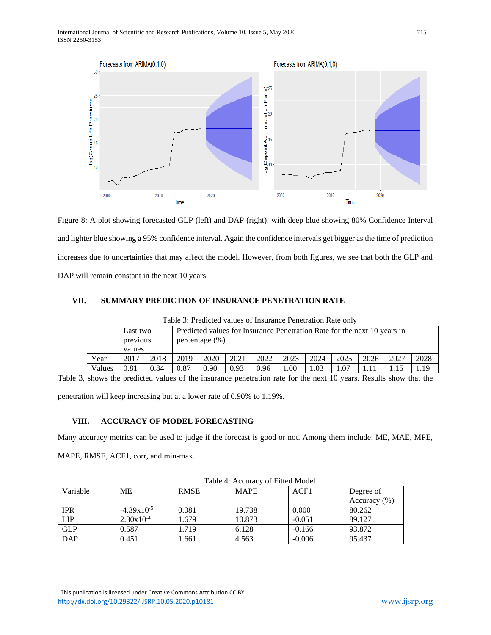

Figure 8: A plot showing forecasted GLP (left) and DAP (right), with deep blue showing 80% Confidence Interval and lighter blue showing a 95% confidence interval. Again the confidence intervals get bigger as the time of prediction increases due to uncertainties that may affect the model. However, from both figures, we see that both the GLP and DAP will remain constant in the next 10 years.

## **VII. SUMMARY PREDICTION OF INSURANCE PENETRATION RATE**

| Table 3: Predicted values of Insurance Penetration Rate only |                    |      |                                                                          |                   |      |      |      |      |      |      |      |      |
|--------------------------------------------------------------|--------------------|------|--------------------------------------------------------------------------|-------------------|------|------|------|------|------|------|------|------|
|                                                              | Last two           |      | Predicted values for Insurance Penetration Rate for the next 10 years in |                   |      |      |      |      |      |      |      |      |
|                                                              | previous<br>values |      |                                                                          | percentage $(\%)$ |      |      |      |      |      |      |      |      |
| Year                                                         | 2017               | 2018 | 2019                                                                     | 2020              | 2021 | 2022 | 2023 | 2024 | 2025 | 2026 | 2027 | 2028 |
| Values                                                       | 0.81               | 0.84 | 0.87                                                                     | 0.90              | 0.93 | 0.96 | 1.00 | .03  |      |      |      | .19  |

Table 3: Predicted values of Insurance Penetration Rate only

Table 3, shows the predicted values of the insurance penetration rate for the next 10 years. Results show that the penetration will keep increasing but at a lower rate of 0.90% to 1.19%.

## **VIII. ACCURACY OF MODEL FORECASTING**

Many accuracy metrics can be used to judge if the forecast is good or not. Among them include; ME, MAE, MPE,

MAPE, RMSE, ACF1, corr, and min-max.

| Table 4. Accuracy of Fitted Model |                 |             |             |          |                  |  |  |
|-----------------------------------|-----------------|-------------|-------------|----------|------------------|--|--|
| Variable                          | ME              | <b>RMSE</b> | <b>MAPE</b> | ACF1     | Degree of        |  |  |
|                                   |                 |             |             |          | Accuracy $(\% )$ |  |  |
| <b>IPR</b>                        | $-4.39x10^{-5}$ | 0.081       | 19.738      | 0.000    | 80.262           |  |  |
| <b>LIP</b>                        | $2.30x10^{-4}$  | 1.679       | 10.873      | $-0.051$ | 89.127           |  |  |
| <b>GLP</b>                        | 0.587           | 1.719       | 6.128       | $-0.166$ | 93.872           |  |  |
| <b>DAP</b>                        | 0.451           | l.661       | 4.563       | $-0.006$ | 95.437           |  |  |

Table 4: Accuracy of Fitted Model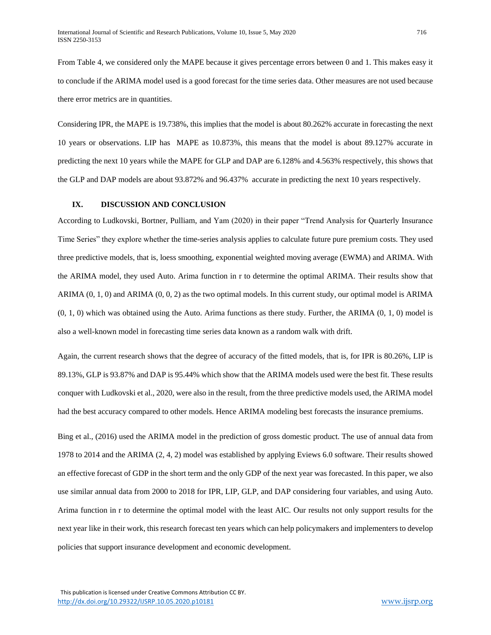From Table 4, we considered only the MAPE because it gives percentage errors between 0 and 1. This makes easy it to conclude if the ARIMA model used is a good forecast for the time series data. Other measures are not used because there error metrics are in quantities.

Considering IPR, the MAPE is 19.738%, this implies that the model is about 80.262% accurate in forecasting the next 10 years or observations. LIP has MAPE as 10.873%, this means that the model is about 89.127% accurate in predicting the next 10 years while the MAPE for GLP and DAP are 6.128% and 4.563% respectively, this shows that the GLP and DAP models are about 93.872% and 96.437% accurate in predicting the next 10 years respectively.

#### **IX. DISCUSSION AND CONCLUSION**

According to Ludkovski, Bortner, Pulliam, and Yam (2020) in their paper "Trend Analysis for Quarterly Insurance Time Series" they explore whether the time-series analysis applies to calculate future pure premium costs. They used three predictive models, that is, loess smoothing, exponential weighted moving average (EWMA) and ARIMA. With the ARIMA model, they used Auto. Arima function in r to determine the optimal ARIMA. Their results show that ARIMA (0, 1, 0) and ARIMA (0, 0, 2) as the two optimal models. In this current study, our optimal model is ARIMA (0, 1, 0) which was obtained using the Auto. Arima functions as there study. Further, the ARIMA (0, 1, 0) model is also a well-known model in forecasting time series data known as a random walk with drift.

Again, the current research shows that the degree of accuracy of the fitted models, that is, for IPR is 80.26%, LIP is 89.13%, GLP is 93.87% and DAP is 95.44% which show that the ARIMA models used were the best fit. These results conquer with Ludkovski et al., 2020, were also in the result, from the three predictive models used, the ARIMA model had the best accuracy compared to other models. Hence ARIMA modeling best forecasts the insurance premiums.

Bing et al., (2016) used the ARIMA model in the prediction of gross domestic product. The use of annual data from 1978 to 2014 and the ARIMA (2, 4, 2) model was established by applying Eviews 6.0 software. Their results showed an effective forecast of GDP in the short term and the only GDP of the next year was forecasted. In this paper, we also use similar annual data from 2000 to 2018 for IPR, LIP, GLP, and DAP considering four variables, and using Auto. Arima function in r to determine the optimal model with the least AIC. Our results not only support results for the next year like in their work, this research forecast ten years which can help policymakers and implementers to develop policies that support insurance development and economic development.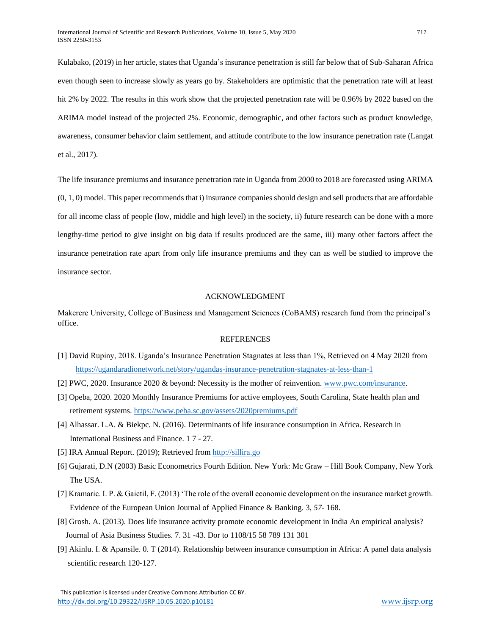Kulabako, (2019) in her article, states that Uganda's insurance penetration is still far below that of Sub-Saharan Africa even though seen to increase slowly as years go by. Stakeholders are optimistic that the penetration rate will at least hit 2% by 2022. The results in this work show that the projected penetration rate will be 0.96% by 2022 based on the ARIMA model instead of the projected 2%. Economic, demographic, and other factors such as product knowledge, awareness, consumer behavior claim settlement, and attitude contribute to the low insurance penetration rate (Langat et al., 2017).

The life insurance premiums and insurance penetration rate in Uganda from 2000 to 2018 are forecasted using ARIMA (0, 1, 0) model. This paper recommends that i) insurance companies should design and sell products that are affordable for all income class of people (low, middle and high level) in the society, ii) future research can be done with a more lengthy-time period to give insight on big data if results produced are the same, iii) many other factors affect the insurance penetration rate apart from only life insurance premiums and they can as well be studied to improve the insurance sector.

## ACKNOWLEDGMENT

Makerere University, College of Business and Management Sciences (CoBAMS) research fund from the principal's office.

## REFERENCES

- [1] David Rupiny, 2018. Uganda's Insurance Penetration Stagnates at less than 1%, Retrieved on 4 May 2020 from <https://ugandaradionetwork.net/story/ugandas-insurance-penetration-stagnates-at-less-than-1>
- [2] PWC, 2020. Insurance 2020 & beyond: Necessity is the mother of reinvention. [www.pwc.com/insurance.](http://www.pwc.com/insurance)
- [3] Opeba, 2020. 2020 Monthly Insurance Premiums for active employees, South Carolina, State health plan and retirement systems.<https://www.peba.sc.gov/assets/2020premiums.pdf>
- [4] Alhassar. L.A. & Biekpc. N. (2016). Determinants of life insurance consumption in Africa. Research in International Business and Finance. 1 7 - 27.
- [5] IRA Annual Report. (2019); Retrieved from [http://sillira.go](http://sillira.go/)
- [6] Gujarati, D.N (2003) Basic Econometrics Fourth Edition. New York: Mc Graw Hill Book Company, New York The USA.
- [7] Kramaric. I. P. & Gaictil, F. (2013) 'The role of the overall economic development on the insurance market growth. Evidence of the European Union Journal of Applied Finance & Banking. 3, *57-* 168.
- [8] Grosh. A. (2013). Does life insurance activity promote economic development in India An empirical analysis? Journal of Asia Business Studies. 7. 31 -43. Dor to 1108/15 58 789 131 301
- [9] Akinlu. I. & Apansile. 0. T (2014). Relationship between insurance consumption in Africa: A panel data analysis scientific research 120-127.